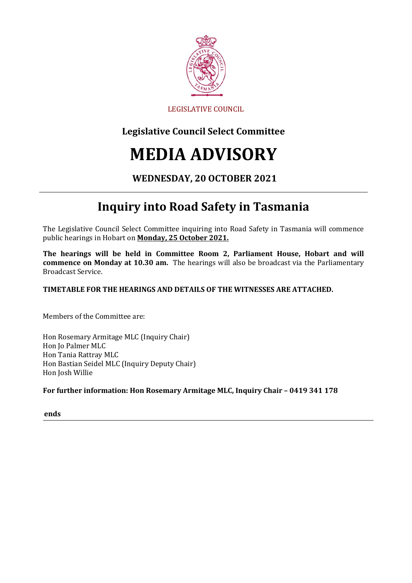

### LEGISLATIVE COUNCIL

## **Legislative Council Select Committee**

# **MEDIA ADVISORY**

### **WEDNESDAY, 20 OCTOBER 2021**

# **Inquiry into Road Safety in Tasmania**

The Legislative Council Select Committee inquiring into Road Safety in Tasmania will commence public hearings in Hobart on **Monday, 25 October 2021.**

**The hearings will be held in Committee Room 2, Parliament House, Hobart and will commence on Monday at 10.30 am.** The hearings will also be broadcast via the Parliamentary Broadcast Service.

#### **TIMETABLE FOR THE HEARINGS AND DETAILS OF THE WITNESSES ARE ATTACHED.**

Members of the Committee are:

Hon Rosemary Armitage MLC (Inquiry Chair) Hon Jo Palmer MLC Hon Tania Rattray MLC Hon Bastian Seidel MLC (Inquiry Deputy Chair) Hon Josh Willie

#### **For further information: Hon Rosemary Armitage MLC, Inquiry Chair – 0419 341 178**

**ends**